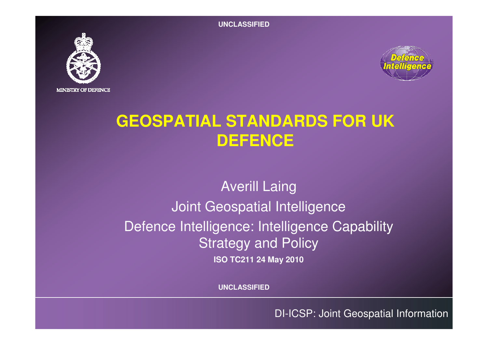**UNCLASSIFIED**





# **GEOSPATIAL STANDARDS FOR UK DEFENCE**

## Averill Laing Joint Geospatial Intelligence Defence Intelligence: Intelligence Capability Strategy and Policy**ISO TC211 24 May 2010**

**UNCLASSIFIED**

DI-ICSP: Joint Geospatial Information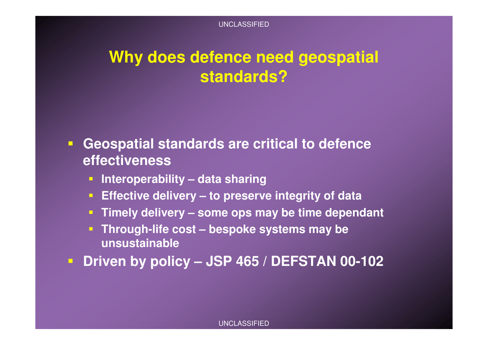# **Why does defence need geospatial standards?**

- **Geospatial standards are critical to defence effectiveness**
	- **Interoperability – data sharing**
	- **Effective delivery – to preserve integrity of data**
	- **Timely delivery – some ops may be time dependant**
	- **Through-life cost – bespoke systems may be unsustainable**
- **Driven by policy – JSP 465 / DEFSTAN 00-102**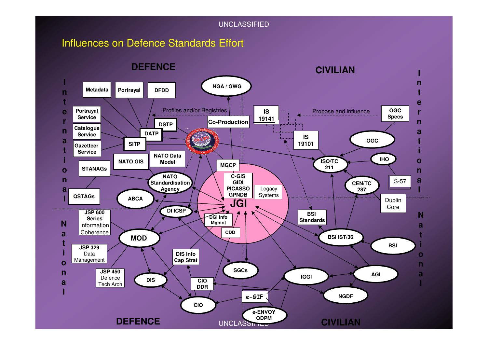#### UNCLASSIFIED

### Influences on Defence Standards Effort

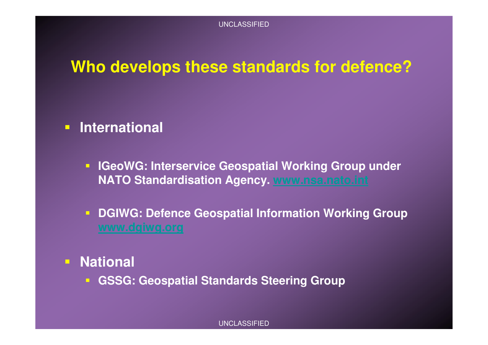## **Who develops these standards for defence?**

# **International**

- **IGeoWG: Interservice Geospatial Working Group under NATO Standardisation Agency. www.nsa.nato.int**
- **DGIWG: Defence Geospatial Information Working Group**
- $\overline{\Box}$  **National**
	- **GSSG: Geospatial Standards Steering Group**

#### UNCLASSIFIED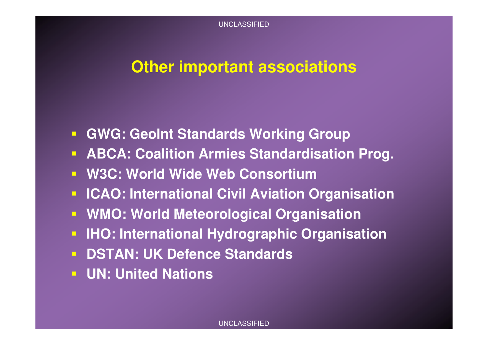### **Other important associations**

- **GWG: GeoInt Standards Working Group**
- **ABCA: Coalition Armies Standardisation Prog.**
- **W3C: World Wide Web Consortium**
- **ICAO: International Civil Aviation Organisation**
- **WMO: World Meteorological Organisation**
- **IHO: International Hydrographic Organisation**
- **DSTAN: UK Defence Standards**
- **UN: United Nations**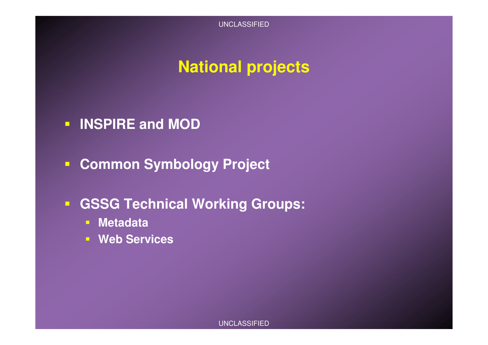# **National projects**

- **INSPIRE and MOD**
- **Common Symbology Project**
- **GSSG Technical Working Groups:**
	- **Metadata**
	- **Web Services**

UNCLASSIFIED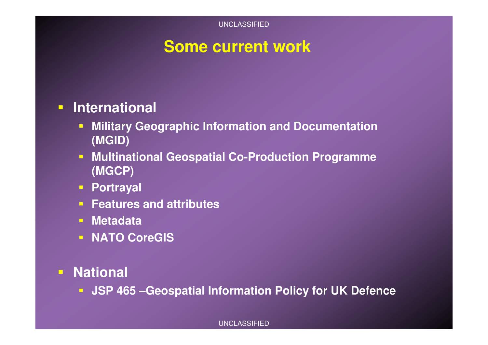## **Some current work**

# **International**

- $\blacksquare$  **Military Geographic Information and Documentation (MGID)**
- $\blacksquare$  **Multinational Geospatial Co-Production Programme (MGCP)**
- **Portrayal**
- **Features and attributes**
- $\Box$  : **Metadata**
- **NATO CoreGIS**
- $\Box$  **National**
	- **JSP 465 –Geospatial Information Policy for UK Defence**

#### UNCLASSIFIED